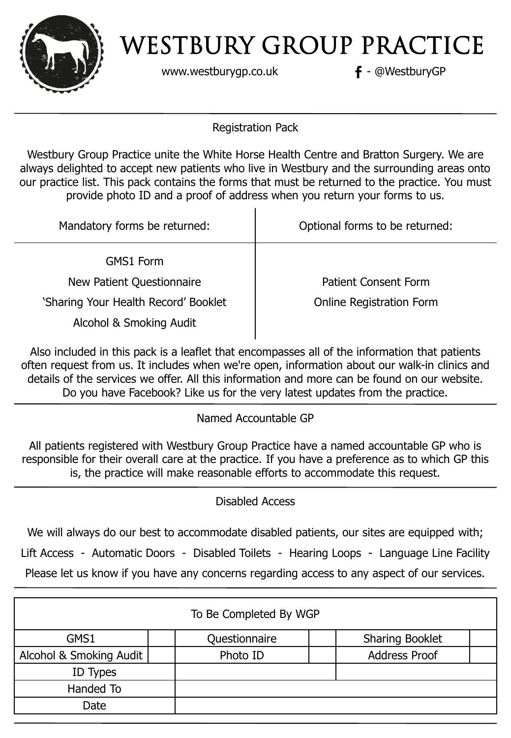

www.westburygp.co.uk **f** - @WestburyGP

Registration Pack

Westbury Group Practice unite the White Horse Health Centre and Bratton Surgery. We are always delighted to accept new patients who live in Westbury and the surrounding areas onto our practice list. This pack contains the forms that must be returned to the practice. You must provide photo ID and a proof of address when you return your forms to us.

| Mandatory forms be returned:         | Optional forms to be returned:  |
|--------------------------------------|---------------------------------|
| <b>GMS1 Form</b>                     |                                 |
| New Patient Questionnaire            | <b>Patient Consent Form</b>     |
| 'Sharing Your Health Record' Booklet | <b>Online Registration Form</b> |
| Alcohol & Smoking Audit              |                                 |

Also included in this pack is a leaflet that encompasses all of the information that patients often request from us. It includes when we're open, information about our walk-in clinics and details of the services we offer. All this information and more can be found on our website. Do you have Facebook? Like us for the very latest updates from the practice.

Named Accountable GP

All patients registered with Westbury Group Practice have a named accountable GP who is responsible for their overall care at the practice. If you have a preference as to which GP this is, the practice will make reasonable efforts to accommodate this request.

Disabled Access

We will always do our best to accommodate disabled patients, our sites are equipped with;

Lift Access - Automatic Doors - Disabled Toilets - Hearing Loops - Language Line Facility

Please let us know if you have any concerns regarding access to any aspect of our services.

| To Be Completed By WGP  |               |                        |  |  |  |
|-------------------------|---------------|------------------------|--|--|--|
| GMS1                    | Questionnaire | <b>Sharing Booklet</b> |  |  |  |
| Alcohol & Smoking Audit | Photo ID      | <b>Address Proof</b>   |  |  |  |
| ID Types                |               |                        |  |  |  |
| Handed To               |               |                        |  |  |  |
| Date                    |               |                        |  |  |  |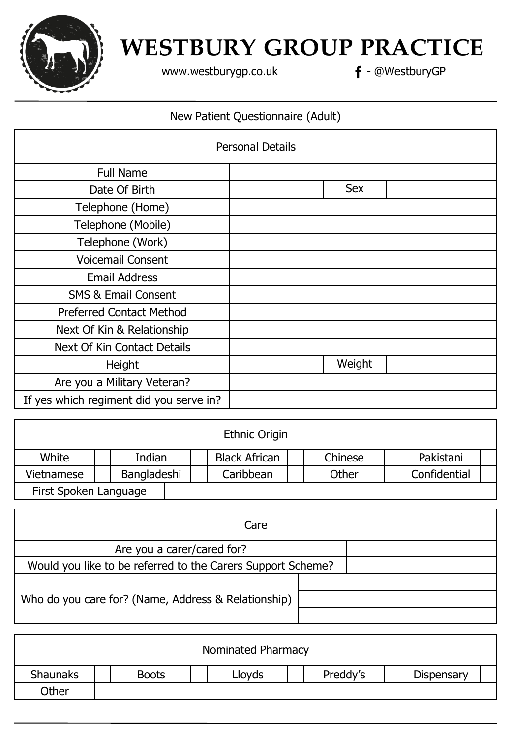

[www.westburygp.co.uk](http://www.westburygp.co.uk/) **f** - @WestburyGP

### New Patient Questionnaire (Adult)

|                                         | <b>Personal Details</b> |
|-----------------------------------------|-------------------------|
| <b>Full Name</b>                        |                         |
| Date Of Birth                           | <b>Sex</b>              |
| Telephone (Home)                        |                         |
| Telephone (Mobile)                      |                         |
| Telephone (Work)                        |                         |
| <b>Voicemail Consent</b>                |                         |
| <b>Email Address</b>                    |                         |
| <b>SMS &amp; Email Consent</b>          |                         |
| <b>Preferred Contact Method</b>         |                         |
| Next Of Kin & Relationship              |                         |
| <b>Next Of Kin Contact Details</b>      |                         |
| Height                                  | Weight                  |
| Are you a Military Veteran?             |                         |
| If yes which regiment did you serve in? |                         |

| Ethnic Origin         |  |             |  |  |                      |         |              |  |
|-----------------------|--|-------------|--|--|----------------------|---------|--------------|--|
| White                 |  | Indian      |  |  | <b>Black African</b> | Chinese | Pakistani    |  |
| Vietnamese            |  | Bangladeshi |  |  | Caribbean            | Other   | Confidential |  |
| First Spoken Language |  |             |  |  |                      |         |              |  |

| Care                                                        |  |  |  |  |  |
|-------------------------------------------------------------|--|--|--|--|--|
| Are you a carer/cared for?                                  |  |  |  |  |  |
| Would you like to be referred to the Carers Support Scheme? |  |  |  |  |  |
| Who do you care for? (Name, Address & Relationship)         |  |  |  |  |  |

| Nominated Pharmacy |              |        |          |                   |  |
|--------------------|--------------|--------|----------|-------------------|--|
| <b>Shaunaks</b>    | <b>Boots</b> | Llovds | Preddy's | <b>Dispensary</b> |  |
| <b>Other</b>       |              |        |          |                   |  |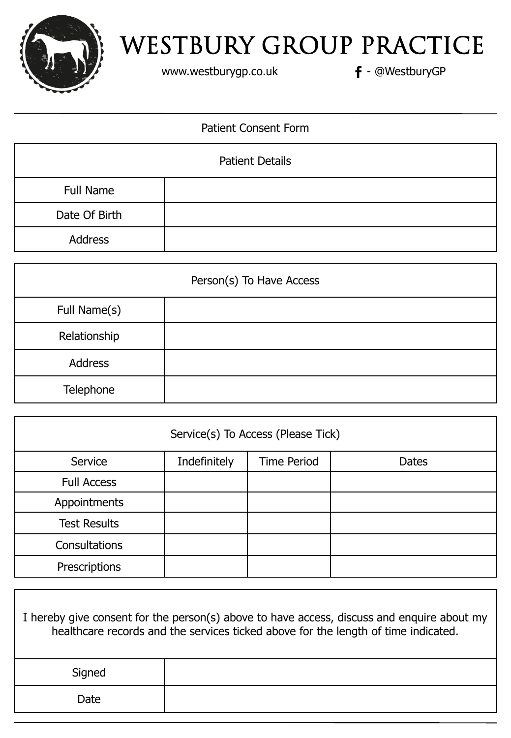

www.westburygp.co.uk **f** - @WestburyGP

## Patient Consent Form

| <b>Patient Details</b> |  |  |
|------------------------|--|--|
| Full Name              |  |  |
| Date Of Birth          |  |  |
| Address                |  |  |

| Person(s) To Have Access |  |  |  |
|--------------------------|--|--|--|
| Full Name(s)             |  |  |  |
| Relationship             |  |  |  |
| <b>Address</b>           |  |  |  |
| Telephone                |  |  |  |

| Service(s) To Access (Please Tick) |              |                    |              |  |  |
|------------------------------------|--------------|--------------------|--------------|--|--|
| Service                            | Indefinitely | <b>Time Period</b> | <b>Dates</b> |  |  |
| <b>Full Access</b>                 |              |                    |              |  |  |
| Appointments                       |              |                    |              |  |  |
| <b>Test Results</b>                |              |                    |              |  |  |
| Consultations                      |              |                    |              |  |  |
| Prescriptions                      |              |                    |              |  |  |

| I hereby give consent for the person(s) above to have access, discuss and enquire about my<br>healthcare records and the services ticked above for the length of time indicated. |  |  |
|----------------------------------------------------------------------------------------------------------------------------------------------------------------------------------|--|--|
| Signed                                                                                                                                                                           |  |  |
| Date                                                                                                                                                                             |  |  |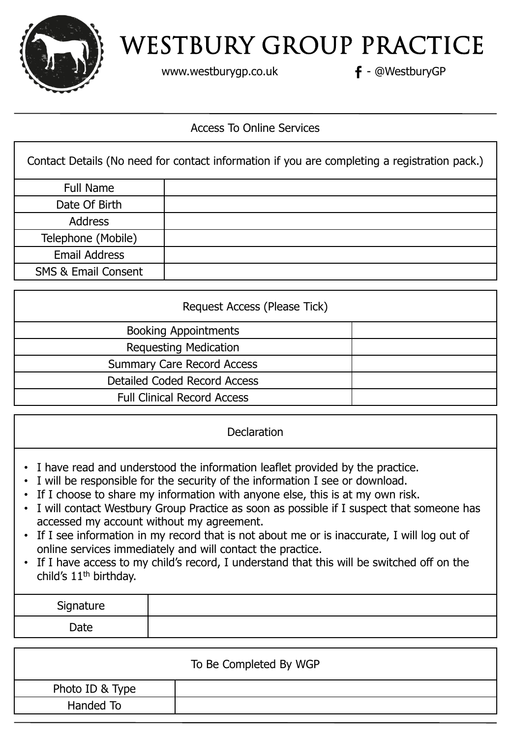

www.westburygp.co.uk **f** - @WestburyGP

### Access To Online Services

|                                | Contact Details (No need for contact information if you are completing a registration pack.) |
|--------------------------------|----------------------------------------------------------------------------------------------|
| Full Name                      |                                                                                              |
| Date Of Birth                  |                                                                                              |
| <b>Address</b>                 |                                                                                              |
| Telephone (Mobile)             |                                                                                              |
| <b>Email Address</b>           |                                                                                              |
| <b>SMS &amp; Email Consent</b> |                                                                                              |

| Request Access (Please Tick)       |  |  |  |  |
|------------------------------------|--|--|--|--|
| <b>Booking Appointments</b>        |  |  |  |  |
| <b>Requesting Medication</b>       |  |  |  |  |
| <b>Summary Care Record Access</b>  |  |  |  |  |
| Detailed Coded Record Access       |  |  |  |  |
| <b>Full Clinical Record Access</b> |  |  |  |  |

**Declaration** 

- I have read and understood the information leaflet provided by the practice.
- I will be responsible for the security of the information I see or download.
- If I choose to share my information with anyone else, this is at my own risk.
- I will contact Westbury Group Practice as soon as possible if I suspect that someone has accessed my account without my agreement.
- If I see information in my record that is not about me or is inaccurate, I will log out of online services immediately and will contact the practice.
- If I have access to my child's record, I understand that this will be switched off on the child's 11<sup>th</sup> birthday.

| Signature |  |
|-----------|--|
| Date      |  |

| To Be Completed By WGP |  |  |  |  |
|------------------------|--|--|--|--|
| Photo ID & Type        |  |  |  |  |
| Handed To              |  |  |  |  |
|                        |  |  |  |  |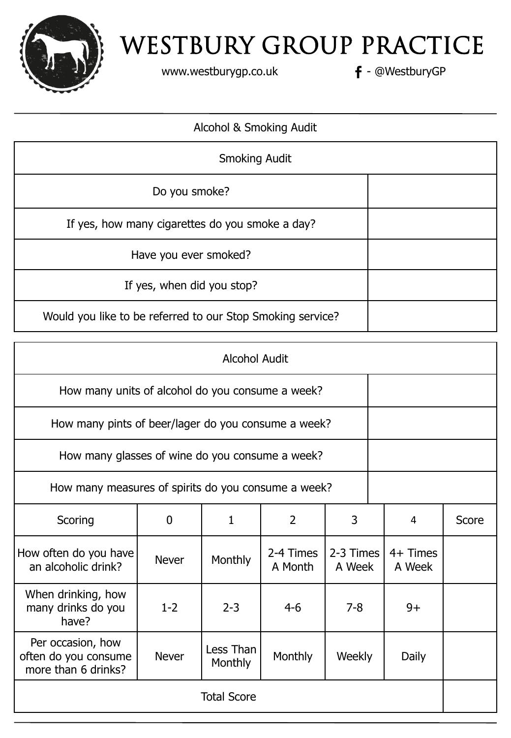

www.westburygp.co.uk **f** - @WestburyGP

### Alcohol & Smoking Audit

| <b>Smoking Audit</b>                                       |  |
|------------------------------------------------------------|--|
| Do you smoke?                                              |  |
| If yes, how many cigarettes do you smoke a day?            |  |
| Have you ever smoked?                                      |  |
| If yes, when did you stop?                                 |  |
| Would you like to be referred to our Stop Smoking service? |  |

| <b>Alcohol Audit</b>                                             |              |                      |                      |                     |  |                      |       |
|------------------------------------------------------------------|--------------|----------------------|----------------------|---------------------|--|----------------------|-------|
| How many units of alcohol do you consume a week?                 |              |                      |                      |                     |  |                      |       |
| How many pints of beer/lager do you consume a week?              |              |                      |                      |                     |  |                      |       |
| How many glasses of wine do you consume a week?                  |              |                      |                      |                     |  |                      |       |
| How many measures of spirits do you consume a week?              |              |                      |                      |                     |  |                      |       |
| Scoring                                                          | 0            | 1                    | $\overline{2}$       | 3                   |  | 4                    | Score |
| How often do you have<br>an alcoholic drink?                     | <b>Never</b> | Monthly              | 2-4 Times<br>A Month | 2-3 Times<br>A Week |  | $4+$ Times<br>A Week |       |
| When drinking, how<br>many drinks do you<br>have?                | $1 - 2$      | $2 - 3$              | $4-6$                | $7 - 8$             |  | $9+$                 |       |
| Per occasion, how<br>often do you consume<br>more than 6 drinks? | <b>Never</b> | Less Than<br>Monthly | Monthly              | Weekly              |  | Daily                |       |
| <b>Total Score</b>                                               |              |                      |                      |                     |  |                      |       |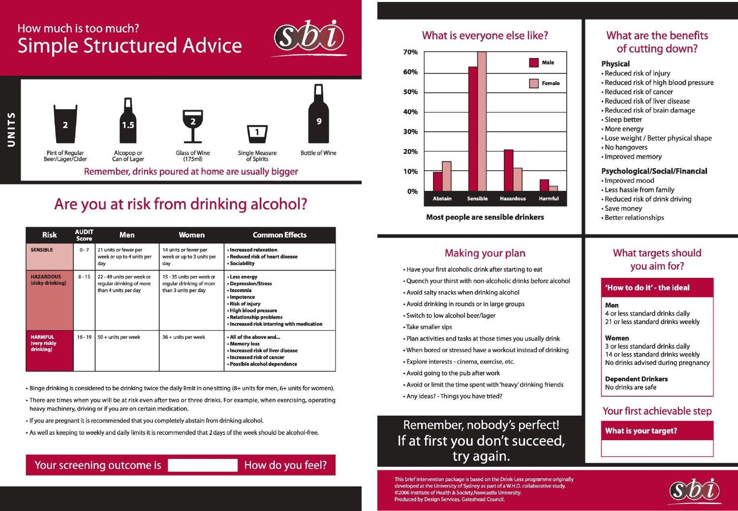## How much is too much? **Simple Structured Advice**





## Are you at risk from drinking alcohol?

| <b>Risk</b>                                 | <b>AUDIT</b><br><b>Score</b> | Men                                                                           | <b>Women</b>                                                                  | <b>Common Effects</b>                                                                                                                                                                   |
|---------------------------------------------|------------------------------|-------------------------------------------------------------------------------|-------------------------------------------------------------------------------|-----------------------------------------------------------------------------------------------------------------------------------------------------------------------------------------|
| <b>SENSIBLE</b>                             | $0 - 7$                      | 21 units or fewer per<br>week or up to 4 units per<br>day                     | 14 units or fewer per<br>week or up to 3 units per<br>day                     | · Increased relaxation<br>• Reduced risk of heart disease<br>· Sociability                                                                                                              |
| <b>HAZARDOUS</b><br>(risky drinking)        | $8 - 15$                     | 22 - 49 units per week or<br>regular drinking of more<br>than 4 units per day | 15 - 35 units per week or<br>regular drinking of more<br>than 3 units per day | • Less energy<br>• Depression/Stress<br>· Insomnia<br>• Impotence<br>• Risk of injury<br>• High blood pressure<br>• Relationship problems<br>· Increased risk interring with medication |
| <b>HARMFUL</b><br>(very riskiy<br>drinking) | $16 - 19$                    | 50 + units per week                                                           | $36 +$ units per week                                                         | . All of the above and<br>• Memory loss<br>· Increased risk of liver disease<br>· Increased risk of cancer<br>• Possible alcohol dependence                                             |

- . Binge drinking is considered to be drinking twice the daily limit in one sitting (8+ units for men, 6+ units for women).
- There are times when you will be at risk even after two or three drinks. For example, when exercising, operating heavy machinery, driving or if you are on certain medication.
- If you are pregnant it is recommended that you completely abstain from drinking alcohol.
- . As well as keeping to weekly and daily limits it is recommended that 2 days of the week should be alcohol-free.

#### How do you feel?

#### What is everyone else like?



Most people are sensible drinkers

### Making your plan

- Have your first alcoholic drink after starting to eat
- . Quench your thirst with non-alcoholic drinks before alcohol
- Avoid salty snacks when drinking alcohol
- Avoid drinking in rounds or in large groups
- · Switch to low alcohol beer/lager
- Take smaller sips
- . Plan activities and tasks at those times you usually drink
- . When bored or stressed have a workout instead of drinking
- · Explore interests cinema, exercise, etc.
- Avoid going to the pub after work
- . Avoid or limit the time spent with 'heavy' drinking friends
- Any ideas? Things you have tried?

## Remember, nobody's perfect! If at first you don't succeed, try again.

This brief intervention package is based on the Drink-Less programme originally developed at the University of Sydney as part of a W.H.O. collaborative study. ©2006 Institute of Health & Society, Newcastle University. Produced by Design Services, Gateshead Council.

### What are the benefits of cutting down?

#### **Physical**

- Reduced risk of injury
- Reduced risk of high blood pressure
- Reduced risk of cancer
- Reduced risk of liver disease
- Reduced risk of brain damage
- · Sleep better
- More energy
- Lose weight / Better physical shape
- No hangovers
- Improved memory

#### Psychological/Social/Financial

- · Improved mood
- Less hassle from family
- Reduced risk of drink driving
- Save money
- Better relationships

### What targets should you aim for?

#### 'How to do it' - the ideal

#### Men

4 or less standard drinks daily 21 or less standard drinks weekly

#### Women

3 or less standard drinks daily 14 or less standard drinks weekly No drinks advised during pregnancy

**Dependent Drinkers** No drinks are safe

#### Your first achievable step

**What is your target?** 

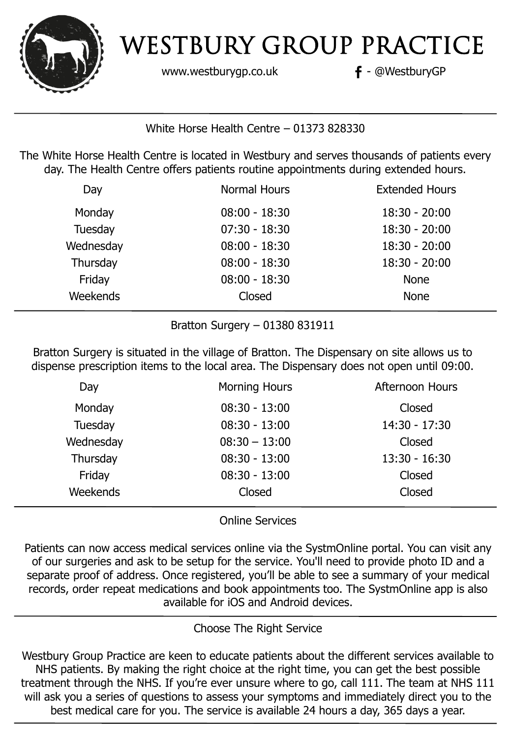

www.westburygp.co.uk **f** - @WestburyGP

White Horse Health Centre – 01373 828330

The White Horse Health Centre is located in Westbury and serves thousands of patients every day. The Health Centre offers patients routine appointments during extended hours.

| Day       | <b>Normal Hours</b> | <b>Extended Hours</b> |
|-----------|---------------------|-----------------------|
| Monday    | $08:00 - 18:30$     | $18:30 - 20:00$       |
| Tuesday   | $07:30 - 18:30$     | $18:30 - 20:00$       |
| Wednesday | $08:00 - 18:30$     | $18:30 - 20:00$       |
| Thursday  | $08:00 - 18:30$     | $18:30 - 20:00$       |
| Friday    | $08:00 - 18:30$     | <b>None</b>           |
| Weekends  | Closed              | <b>None</b>           |
|           |                     |                       |

Bratton Surgery – 01380 831911

Bratton Surgery is situated in the village of Bratton. The Dispensary on site allows us to dispense prescription items to the local area. The Dispensary does not open until 09:00.

| Day       | <b>Morning Hours</b> | <b>Afternoon Hours</b> |
|-----------|----------------------|------------------------|
| Monday    | $08:30 - 13:00$      | Closed                 |
| Tuesday   | $08:30 - 13:00$      | $14:30 - 17:30$        |
| Wednesday | $08:30 - 13:00$      | Closed                 |
| Thursday  | $08:30 - 13:00$      | $13:30 - 16:30$        |
| Friday    | $08:30 - 13:00$      | Closed                 |
| Weekends  | Closed               | Closed                 |
|           |                      |                        |

Online Services

Patients can now access medical services online via the SystmOnline portal. You can visit any of our surgeries and ask to be setup for the service. You'll need to provide photo ID and a separate proof of address. Once registered, you'll be able to see a summary of your medical records, order repeat medications and book appointments too. The SystmOnline app is also available for iOS and Android devices.

## Choose The Right Service

Westbury Group Practice are keen to educate patients about the different services available to NHS patients. By making the right choice at the right time, you can get the best possible treatment through the NHS. If you're ever unsure where to go, call 111. The team at NHS 111 will ask you a series of questions to assess your symptoms and immediately direct you to the best medical care for you. The service is available 24 hours a day, 365 days a year.